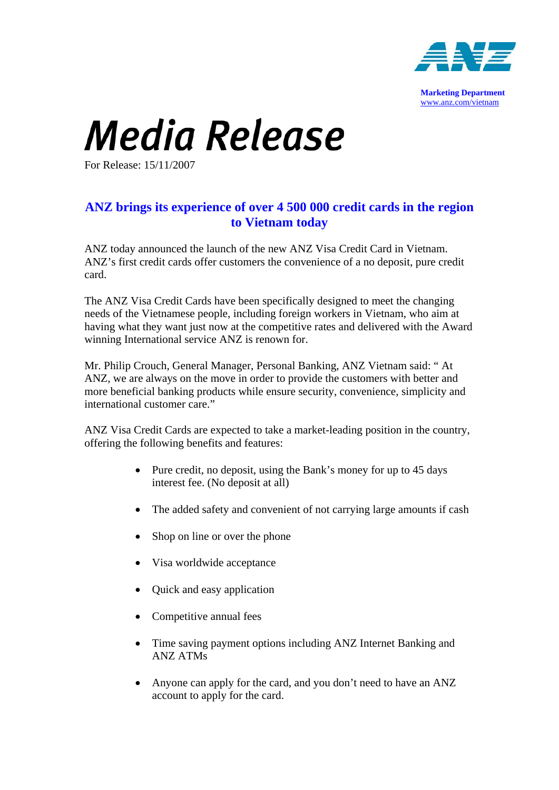

## **Media Release**

For Release: 15/11/2007

## **ANZ brings its experience of over 4 500 000 credit cards in the region to Vietnam today**

ANZ today announced the launch of the new ANZ Visa Credit Card in Vietnam. ANZ's first credit cards offer customers the convenience of a no deposit, pure credit card.

The ANZ Visa Credit Cards have been specifically designed to meet the changing needs of the Vietnamese people, including foreign workers in Vietnam, who aim at having what they want just now at the competitive rates and delivered with the Award winning International service ANZ is renown for.

Mr. Philip Crouch, General Manager, Personal Banking, ANZ Vietnam said: " At ANZ, we are always on the move in order to provide the customers with better and more beneficial banking products while ensure security, convenience, simplicity and international customer care."

ANZ Visa Credit Cards are expected to take a market-leading position in the country, offering the following benefits and features:

- Pure credit, no deposit, using the Bank's money for up to 45 days interest fee. (No deposit at all)
- The added safety and convenient of not carrying large amounts if cash
- Shop on line or over the phone
- Visa worldwide acceptance
- Quick and easy application
- Competitive annual fees
- Time saving payment options including ANZ Internet Banking and ANZ ATMs
- Anyone can apply for the card, and you don't need to have an ANZ account to apply for the card.